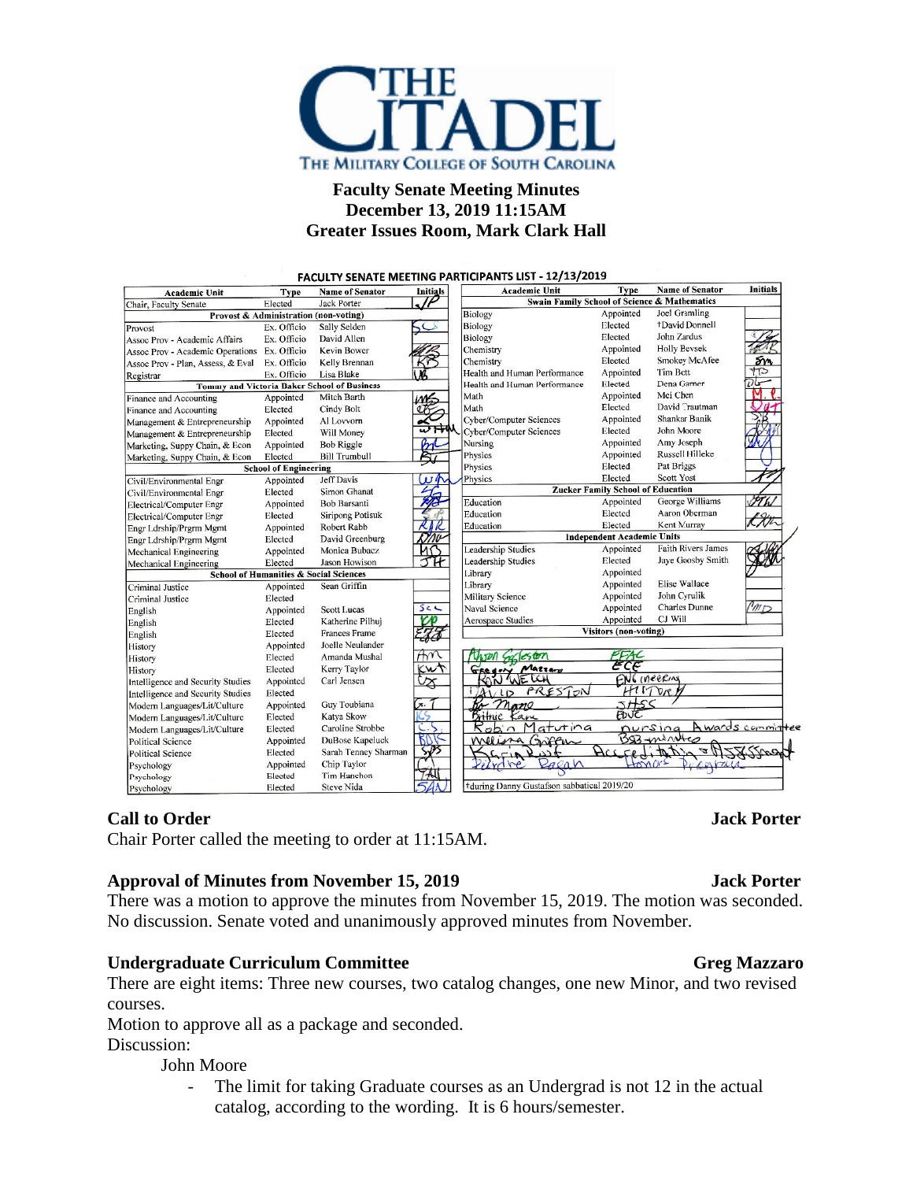

# **Faculty Senate Meeting Minutes December 13, 2019 11:15AM Greater Issues Room, Mark Clark Hall**

FACULTY SENATE MEETING PARTICIPANTS LIST - 12/13/2019 Type **Initials** Name of Senator Initials **Academic Unit** Name of Senator **Academic Unit** Type Swain Family School of Science & Mathematics Elected **Jack Porter** Chair, Faculty Senate Appointed Biology Joel Gramling **Provost & Administration (non-voting)** Biology Elected +David Donnell Ex. Officio Sally Selder Provost John Zardus **Biology** Elected Assoc Prov - Academic Affairs Ex. Officio David Allen **Holly Beysek** Assoc Prov - Academic Operations Ex. Officio **Kevin Bower** Chemistry Appointed Smokey McAfee Chemistry Assoc Prov - Plan, Assess, & Eval Ex. Officio Kelly Brennan Elected Ex. Officio Health and Human Performance Appointed **Tim Bott** Lisa Blake Registrar Health and Human Performance Elected Dena Garner **Tommy and Victoria Baker School of Business** Mei Chen Appointed Finance and Accounting Mitch Barth Math Appointed David Trautman Math Flected Elected Cindy Bolt Finance and Accounting Shankar Banik Cyber/Computer Sciences Appointed Appointed Al Lovvorn Management & Entrepreneurship Cyber/Computer Sciences Elected John Moore Management & Entrepreneurship Elected Will Money Nursing Appointed Amy Joseph Marketing, Suppy Chain, & Econ Appointed **Bob Riggle Russell Hilleke** Marketing, Suppy Chain, & Econ Elected **Bill Trumbull** Physics Appointed **School of Engineering** Physics Elected Pat Briggs Jeff Davis Physics Elected **Scott Yost** Civil/Environmental Engr Appointed  $U$ **Zucker Family School of Education** Civil/Environmental Engr Elected Simon Ghanat George Williams サイム Bob Barsanti Education Appointed Appointed Electrical/Computer Engr Aaron Oberman Siripong Potisuk Education Elected Elected Electrical/Computer Engr Robert Rabb Education Elected Kent Murray Appointed Engr Ldrship/Prgrm Mgmt David Greenburg **Independent Academic Units** Engr Ldrship/Prgrm Mgmt Elected Faith Rivers James Monica Bubacz **Leadership Studies** Appointed Mechanical Engineering Appointed Jaye Goosby Smith Mechanical Engineering Elected Jason Howison Leadership Studies Elected **School of Humanities & Social Sciences** Library Appointed Appointed .<br>Library Elise Wallace Criminal Justice Appointed Sean Griffin Military Science Appointed John Cyrulik Criminal Justice Elected Charles Dunne  $50C$ Naval Science Appointed  $m_{\mathcal{D}}$ Appointed **Scott Lucas** English CJ Will Aerospace Studies Appointed Elected Katherine Pilhuj English **Visitors (non-voting)** English Elected **Frances Frame** Appointed Joelle Neulander History Myon Galeston Amanda Mushal  $\pi$ Elected History RON WELLY ECE Elected Kerry Taylor wt History Intelligence and Security Studies Appointed Carl Jensen ENG INEERIN ∕∆ PRES HITOR  ${\bf Elected}$ Intelligence and Security Studies  $\overline{D}$ Appointed Guy Toubiana Modern Languages/Lit/Culture mano Bithic Kan<br>Robin Matutina Katya Skow Elected Modern Languages/Lit/Culture Awards commi Caroline Strobbe nursing Elected Modern Languages/Lit/Culture DuBose Kapeluck Appointed Williama Griffu  $593 - w$ S **Political Science** Feditat Sarah Tenney Shar Elected Political Science Chip Taylor Appointed agan Psychology MO Tim Hanchon Elected Psychology Steve Nida +during Danny Gustafson sabbatical 2019/20 Psychology Elected

# **Call to Order Jack Porter**

Chair Porter called the meeting to order at 11:15AM.

### **Approval of Minutes from November 15, 2019 Jack Porter**

There was a motion to approve the minutes from November 15, 2019. The motion was seconded. No discussion. Senate voted and unanimously approved minutes from November.

# **Undergraduate Curriculum Committee Greg Mazzaro**

There are eight items: Three new courses, two catalog changes, one new Minor, and two revised courses.

Motion to approve all as a package and seconded.

Discussion:

### John Moore

The limit for taking Graduate courses as an Undergrad is not 12 in the actual catalog, according to the wording. It is 6 hours/semester.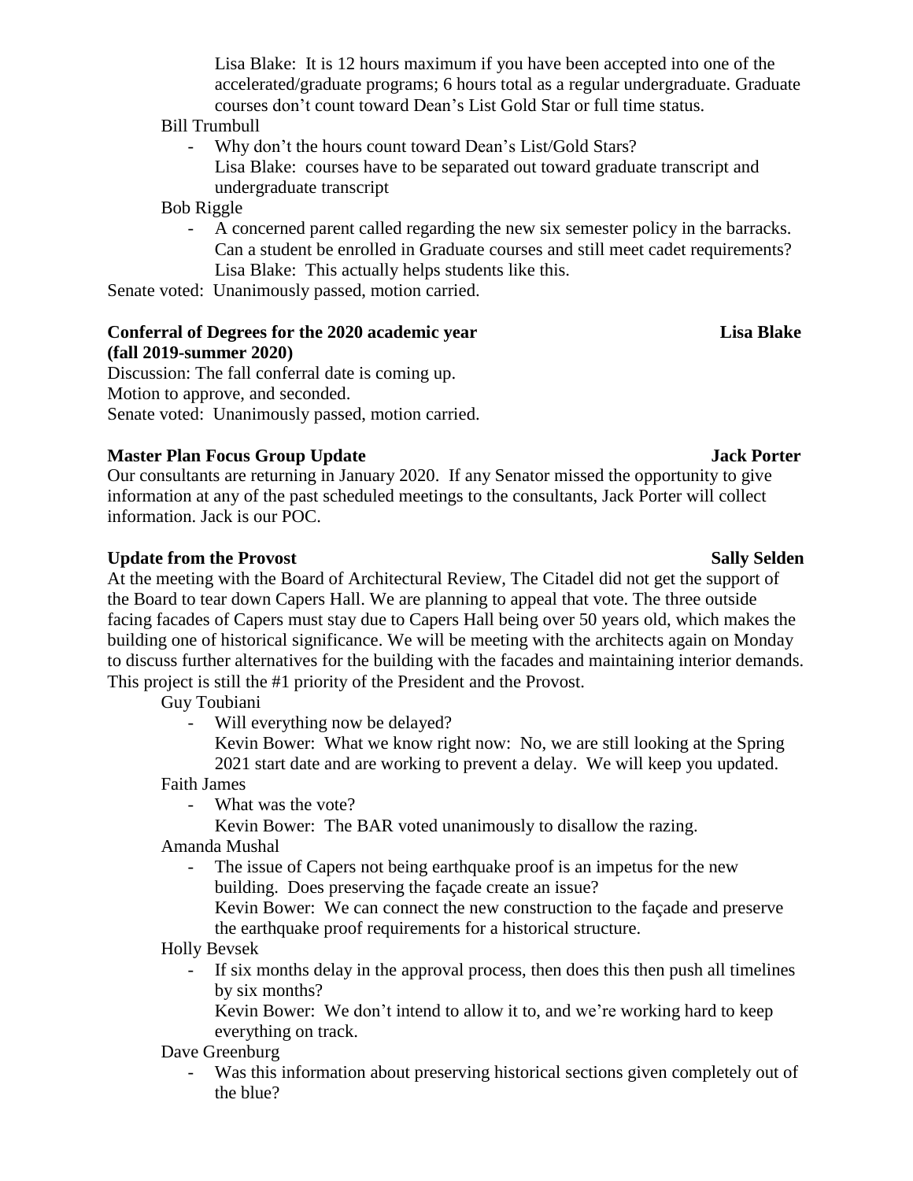Lisa Blake: It is 12 hours maximum if you have been accepted into one of the accelerated/graduate programs; 6 hours total as a regular undergraduate. Graduate courses don't count toward Dean's List Gold Star or full time status.

### Bill Trumbull

- Why don't the hours count toward Dean's List/Gold Stars? Lisa Blake: courses have to be separated out toward graduate transcript and undergraduate transcript

## Bob Riggle

- A concerned parent called regarding the new six semester policy in the barracks. Can a student be enrolled in Graduate courses and still meet cadet requirements? Lisa Blake: This actually helps students like this.

Senate voted: Unanimously passed, motion carried.

# **Conferral of Degrees for the 2020 academic year Lisa Blake (fall 2019-summer 2020)**

Discussion: The fall conferral date is coming up. Motion to approve, and seconded. Senate voted: Unanimously passed, motion carried.

# **Master Plan Focus Group Update Jack Porter**

Our consultants are returning in January 2020. If any Senator missed the opportunity to give information at any of the past scheduled meetings to the consultants, Jack Porter will collect information. Jack is our POC.

# **Update** from the Provost Sally Selden Sally Selden Sally Selden

At the meeting with the Board of Architectural Review, The Citadel did not get the support of the Board to tear down Capers Hall. We are planning to appeal that vote. The three outside facing facades of Capers must stay due to Capers Hall being over 50 years old, which makes the building one of historical significance. We will be meeting with the architects again on Monday to discuss further alternatives for the building with the facades and maintaining interior demands. This project is still the #1 priority of the President and the Provost.

Guy Toubiani

Will everything now be delayed?

Kevin Bower: What we know right now: No, we are still looking at the Spring 2021 start date and are working to prevent a delay. We will keep you updated.

Faith James

- What was the vote?
	- Kevin Bower: The BAR voted unanimously to disallow the razing.

Amanda Mushal

The issue of Capers not being earthquake proof is an impetus for the new building. Does preserving the façade create an issue?

Kevin Bower: We can connect the new construction to the façade and preserve the earthquake proof requirements for a historical structure.

Holly Bevsek

- If six months delay in the approval process, then does this then push all timelines by six months?

Kevin Bower: We don't intend to allow it to, and we're working hard to keep everything on track.

- Dave Greenburg
	- Was this information about preserving historical sections given completely out of the blue?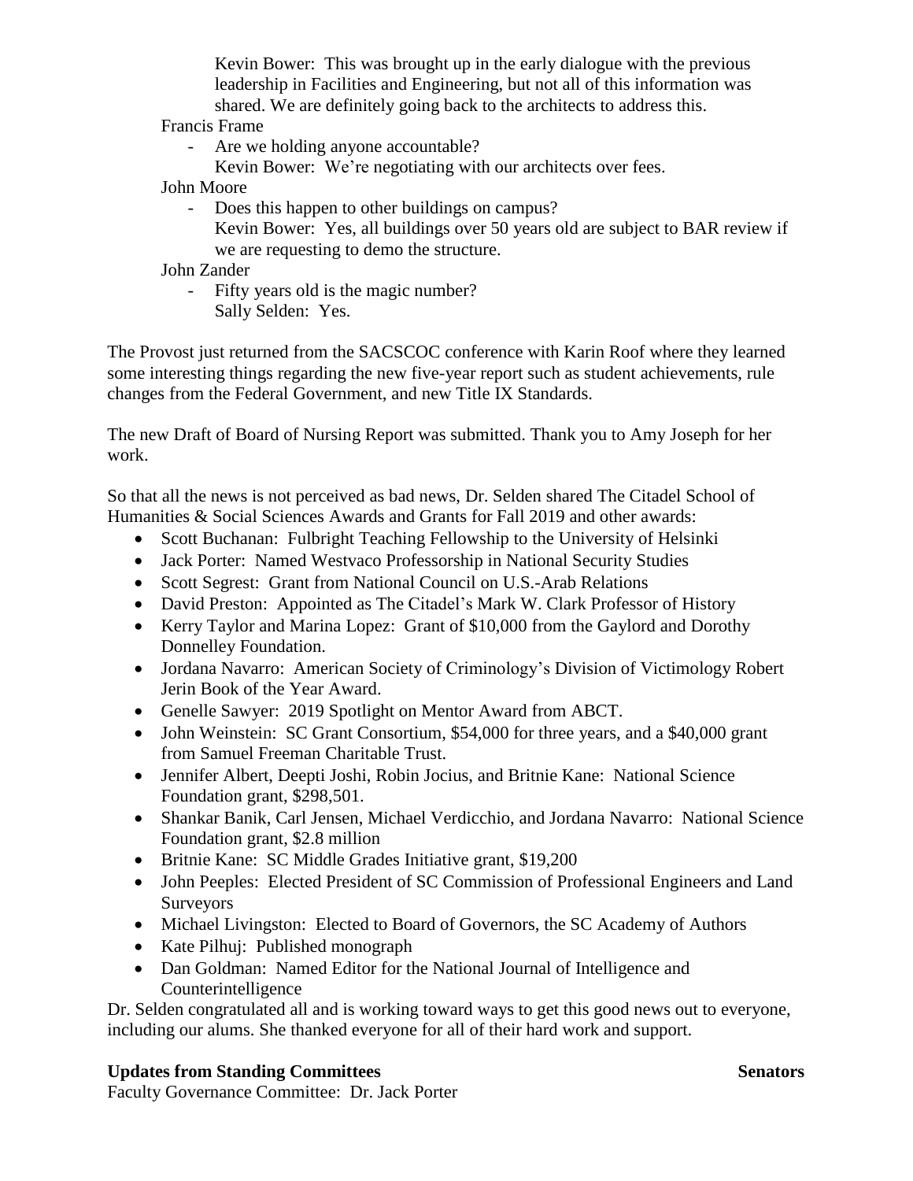Kevin Bower: This was brought up in the early dialogue with the previous leadership in Facilities and Engineering, but not all of this information was shared. We are definitely going back to the architects to address this.

Francis Frame

- Are we holding anyone accountable?
- Kevin Bower: We're negotiating with our architects over fees.

John Moore

- Does this happen to other buildings on campus? Kevin Bower: Yes, all buildings over 50 years old are subject to BAR review if we are requesting to demo the structure.

John Zander

- Fifty years old is the magic number? Sally Selden: Yes.

The Provost just returned from the SACSCOC conference with Karin Roof where they learned some interesting things regarding the new five-year report such as student achievements, rule changes from the Federal Government, and new Title IX Standards.

The new Draft of Board of Nursing Report was submitted. Thank you to Amy Joseph for her work.

So that all the news is not perceived as bad news, Dr. Selden shared The Citadel School of Humanities & Social Sciences Awards and Grants for Fall 2019 and other awards:

- Scott Buchanan: Fulbright Teaching Fellowship to the University of Helsinki
- Jack Porter: Named Westvaco Professorship in National Security Studies
- Scott Segrest: Grant from National Council on U.S.-Arab Relations
- David Preston: Appointed as The Citadel's Mark W. Clark Professor of History
- Kerry Taylor and Marina Lopez: Grant of \$10,000 from the Gaylord and Dorothy Donnelley Foundation.
- Jordana Navarro: American Society of Criminology's Division of Victimology Robert Jerin Book of the Year Award.
- Genelle Sawyer: 2019 Spotlight on Mentor Award from ABCT.
- John Weinstein: SC Grant Consortium, \$54,000 for three years, and a \$40,000 grant from Samuel Freeman Charitable Trust.
- Jennifer Albert, Deepti Joshi, Robin Jocius, and Britnie Kane: National Science Foundation grant, \$298,501.
- Shankar Banik, Carl Jensen, Michael Verdicchio, and Jordana Navarro: National Science Foundation grant, \$2.8 million
- Britnie Kane: SC Middle Grades Initiative grant, \$19,200
- John Peeples: Elected President of SC Commission of Professional Engineers and Land Surveyors
- Michael Livingston: Elected to Board of Governors, the SC Academy of Authors
- Kate Pilhuj: Published monograph
- Dan Goldman: Named Editor for the National Journal of Intelligence and Counterintelligence

Dr. Selden congratulated all and is working toward ways to get this good news out to everyone, including our alums. She thanked everyone for all of their hard work and support.

# **Updates from Standing Committees Senators** Senators

Faculty Governance Committee: Dr. Jack Porter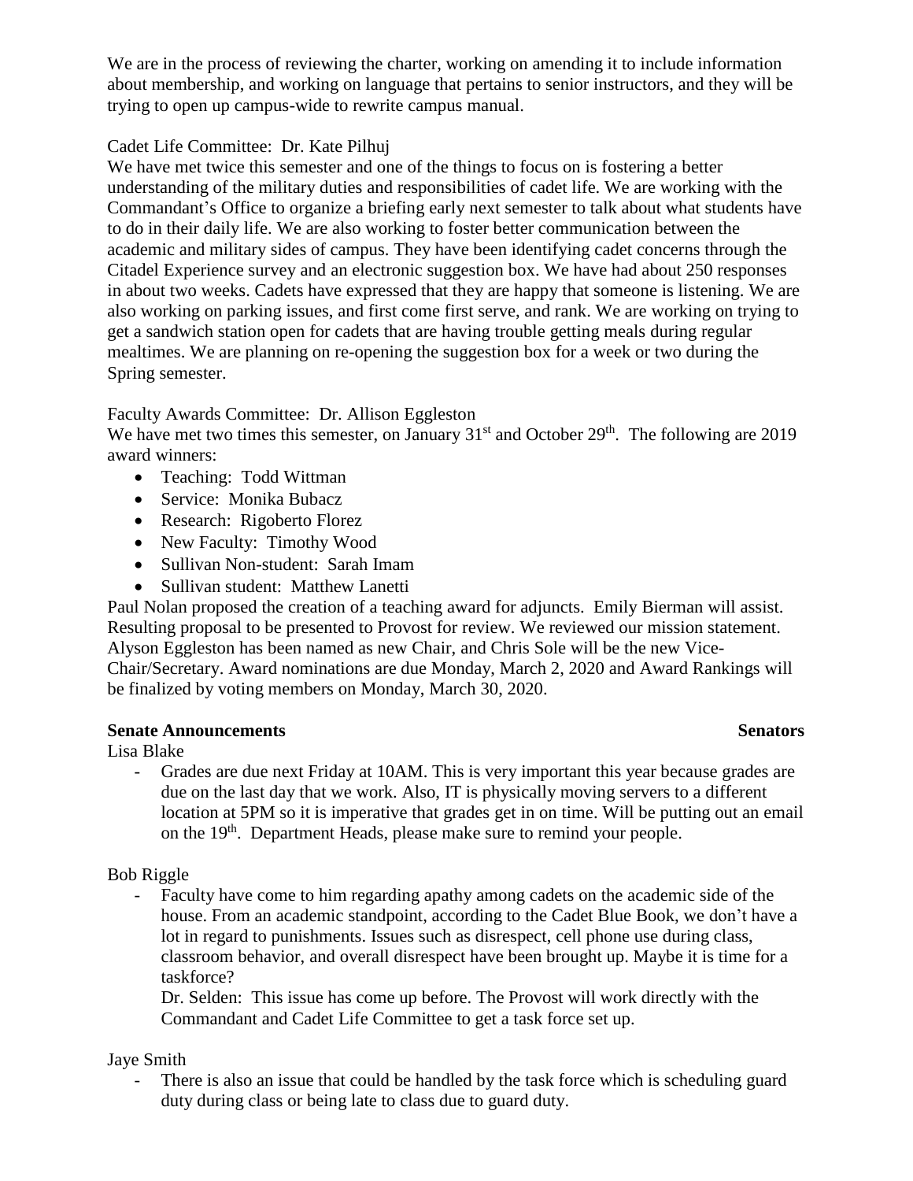We are in the process of reviewing the charter, working on amending it to include information about membership, and working on language that pertains to senior instructors, and they will be trying to open up campus-wide to rewrite campus manual.

# Cadet Life Committee: Dr. Kate Pilhuj

We have met twice this semester and one of the things to focus on is fostering a better understanding of the military duties and responsibilities of cadet life. We are working with the Commandant's Office to organize a briefing early next semester to talk about what students have to do in their daily life. We are also working to foster better communication between the academic and military sides of campus. They have been identifying cadet concerns through the Citadel Experience survey and an electronic suggestion box. We have had about 250 responses in about two weeks. Cadets have expressed that they are happy that someone is listening. We are also working on parking issues, and first come first serve, and rank. We are working on trying to get a sandwich station open for cadets that are having trouble getting meals during regular mealtimes. We are planning on re-opening the suggestion box for a week or two during the Spring semester.

# Faculty Awards Committee: Dr. Allison Eggleston

We have met two times this semester, on January  $31<sup>st</sup>$  and October  $29<sup>th</sup>$ . The following are 2019 award winners:

- Teaching: Todd Wittman
- Service: Monika Bubacz
- Research: Rigoberto Florez
- New Faculty: Timothy Wood
- Sullivan Non-student: Sarah Imam
- Sullivan student: Matthew Lanetti

Paul Nolan proposed the creation of a teaching award for adjuncts. Emily Bierman will assist. Resulting proposal to be presented to Provost for review. We reviewed our mission statement. Alyson Eggleston has been named as new Chair, and Chris Sole will be the new Vice-Chair/Secretary. Award nominations are due Monday, March 2, 2020 and Award Rankings will be finalized by voting members on Monday, March 30, 2020.

# **Senate Announcements** Senators

Lisa Blake

Grades are due next Friday at 10AM. This is very important this year because grades are due on the last day that we work. Also, IT is physically moving servers to a different location at 5PM so it is imperative that grades get in on time. Will be putting out an email on the 19<sup>th</sup>. Department Heads, please make sure to remind your people.

Bob Riggle

- Faculty have come to him regarding apathy among cadets on the academic side of the house. From an academic standpoint, according to the Cadet Blue Book, we don't have a lot in regard to punishments. Issues such as disrespect, cell phone use during class, classroom behavior, and overall disrespect have been brought up. Maybe it is time for a taskforce?

Dr. Selden: This issue has come up before. The Provost will work directly with the Commandant and Cadet Life Committee to get a task force set up.

# Jaye Smith

There is also an issue that could be handled by the task force which is scheduling guard duty during class or being late to class due to guard duty.